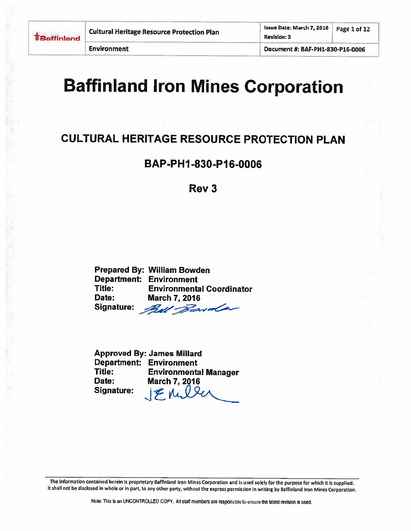**Environment** 

Document #: BAF-PH1-830-P16-0006

# **Baffinland Iron Mines Corporation**

## **CULTURAL HERITAGE RESOURCE PROTECTION PLAN**

### BAP-PH1-830-P16-0006

#### Rev<sub>3</sub>

**Prepared By: William Bowden Department: Environment** Title: **Environmental Coordinator** Date: **March 7, 2016** Signature: Bull Barder

**Approved By: James Millard Department: Environment** Title: **Environmental Manager** Date: **March 7, 2016** JEnuler **Signature:**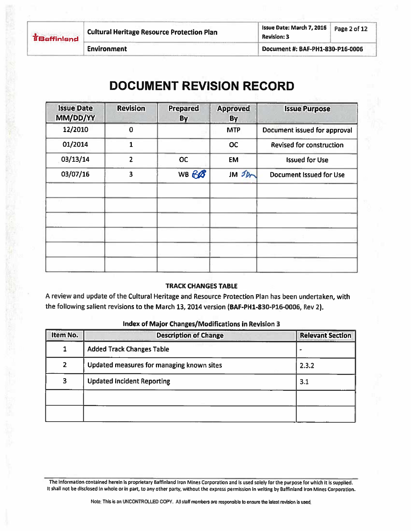**TBaffinland** 

Issue Date: March 7, 2016 Page 2 of 12 **Revision: 3** 

**Environment** 

Document #: BAF-PH1-830-P16-0006

# **DOCUMENT REVISION RECORD**

| <b>Issue Date</b><br>MM/DD/YY | <b>Revision</b>         | <b>Prepared</b><br>By | <b>Approved</b><br>By  | <b>Issue Purpose</b>            |
|-------------------------------|-------------------------|-----------------------|------------------------|---------------------------------|
| 12/2010                       | $\mathbf 0$             |                       | <b>MTP</b>             | Document issued for approval    |
| 01/2014                       |                         |                       | <b>OC</b>              | <b>Revised for construction</b> |
| 03/13/14                      | $\overline{2}$          | <b>OC</b>             | <b>EM</b>              | <b>Issued for Use</b>           |
| 03/07/16                      | $\overline{\mathbf{3}}$ | WB BB                 | $JM$ $\mathcal{D}_{m}$ | <b>Document Issued for Use</b>  |
|                               |                         |                       |                        |                                 |
|                               |                         |                       |                        |                                 |
|                               |                         |                       |                        |                                 |
|                               |                         |                       |                        |                                 |
|                               |                         |                       |                        |                                 |
|                               |                         |                       |                        |                                 |

#### **TRACK CHANGES TABLE**

A review and update of the Cultural Heritage and Resource Protection Plan has been undertaken, with the following salient revisions to the March 13, 2014 version (BAF-PH1-830-P16-0006, Rev 2).

| Item No.       | <b>Description of Change</b>              | <b>Relevant Section</b> |
|----------------|-------------------------------------------|-------------------------|
| 1              | <b>Added Track Changes Table</b>          |                         |
| $\overline{2}$ | Updated measures for managing known sites | 2.3.2                   |
| 3              | <b>Updated Incident Reporting</b>         | 3.1                     |
|                |                                           |                         |
|                |                                           |                         |

#### Index of Major Changes/Modifications in Revision 3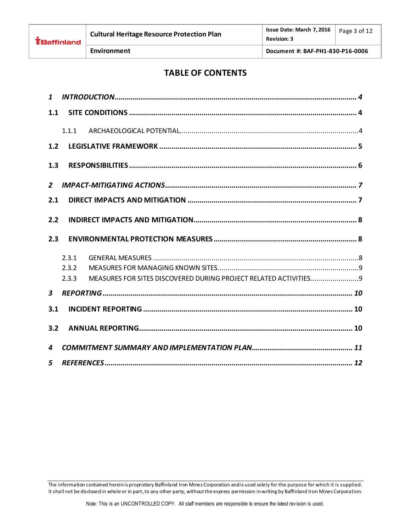### **TABLE OF CONTENTS**

| $\mathbf{1}$            |       |
|-------------------------|-------|
| 1.1                     |       |
|                         | 1.1.1 |
| 1.2                     |       |
| 1.3                     |       |
| $\overline{2}$          |       |
| 2.1                     |       |
| 2.2                     |       |
| 2.3                     |       |
|                         | 2.3.1 |
|                         | 2.3.2 |
|                         | 2.3.3 |
| $\overline{\mathbf{3}}$ |       |
| 3.1                     |       |
| 3.2                     |       |
|                         |       |
| 4                       |       |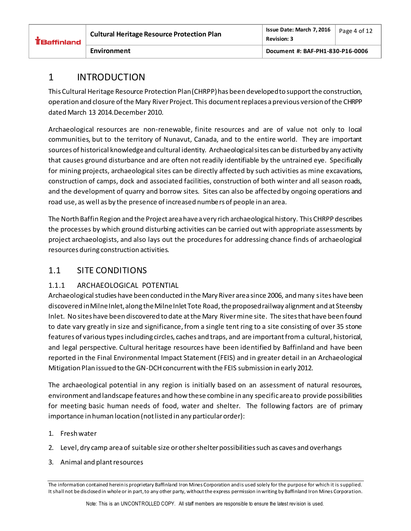|  | EBaffinland |  |
|--|-------------|--|

### <span id="page-3-0"></span>1 INTRODUCTION

This Cultural Heritage Resource Protection Plan (CHRPP) has been developed to support the construction, operation and closure of the Mary River Project. This document replaces a previous version of the CHRPP dated March 13 2014.December 2010.

Archaeological resources are non-renewable, finite resources and are of value not only to local communities, but to the territory of Nunavut, Canada, and to the entire world. They are important sources of historical knowledge and cultural identity. Archaeological sites can be disturbed by any activity that causes ground disturbance and are often not readily identifiable by the untrained eye. Specifically for mining projects, archaeological sites can be directly affected by such activities as mine excavations, construction of camps, dock and associated facilities, construction of both winter and all season roads, and the development of quarry and borrow sites. Sites can also be affected by ongoing operations and road use, as well as by the presence of increased numbers of people in an area.

The North Baffin Region and the Project area have a very rich archaeological history. This CHRPP describes the processes by which ground disturbing activities can be carried out with appropriate assessments by project archaeologists, and also lays out the procedures for addressing chance finds of archaeological resources during construction activities.

### <span id="page-3-1"></span>1.1 SITE CONDITIONS

#### <span id="page-3-2"></span>1.1.1 ARCHAEOLOGICAL POTENTIAL

Archaeological studies have been conducted in the Mary River area since 2006, and many sites have been discovered in Milne Inlet, along the Milne Inlet Tote Road, the proposed railway alignment and at Steensby Inlet. No sites have been discovered to date at the Mary River mine site. The sites that have been found to date vary greatly in size and significance, from a single tent ring to a site consisting of over 35 stone features of various types including circles, caches and traps, and are important from a cultural, historical, and legal perspective. Cultural heritage resources have been identified by Baffinland and have been reported in the Final Environmental Impact Statement (FEIS) and in greater detail in an Archaeological Mitigation Plan issued to the GN-DCH concurrent with the FEIS submission in early 2012.

The archaeological potential in any region is initially based on an assessment of natural resources, environment and landscape features and how these combine in any specific area to provide possibilities for meeting basic human needs of food, water and shelter. The following factors are of primary importance in human location (not listed in any particular order):

- 1. Fresh water
- 2. Level, dry camp area of suitable size or other shelter possibilities such as caves and overhangs
- 3. Animal and plant resources

The information contained herein is proprietary Baffinland Iron Mines Corporation and is used solely for the purpose for which it is supplied. It shall not be disclosed in whole or in part, to any other party, without the express permission in writing by Baffinland Iron Mines Corporation.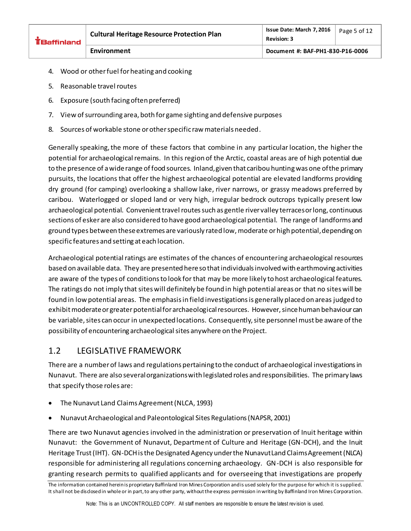| <b>EBaffinland</b> | <b>Cultural Heritage Resource Protection Plan</b> | Issue Date: March 7, 2016<br><b>Revision: 3</b> | Page 5 of 12 |
|--------------------|---------------------------------------------------|-------------------------------------------------|--------------|
|                    | Environment                                       | Document #: BAF-PH1-830-P16-0006                |              |

- 4. Wood or other fuel for heating and cooking
- 5. Reasonable travel routes
- 6. Exposure (south facing often preferred)
- 7. View of surrounding area, both for game sighting and defensive purposes
- 8. Sources of workable stone or other specific raw materials needed.

Generally speaking, the more of these factors that combine in any particular location, the higher the potential for archaeological remains. In this region of the Arctic, coastal areas are of high potential due to the presence of a wide range of food sources. Inland, given that caribou hunting was one of the primary pursuits, the locations that offer the highest archaeological potential are elevated landforms providing dry ground (for camping) overlooking a shallow lake, river narrows, or grassy meadows preferred by caribou. Waterlogged or sloped land or very high, irregular bedrock outcrops typically present low archaeological potential. Convenient travel routes such as gentle river valley terraces or long, continuous sections of esker are also considered to have good archaeological potential. The range of landforms and ground types between these extremes are variously rated low, moderate or high potential, depending on specific features and setting at each location.

Archaeological potential ratings are estimates of the chances of encountering archaeological resources based on available data. They are presented here so that individuals involved with earthmoving activities are aware of the types of conditions to look for that may be more likely to host archaeological features. The ratings do not imply that sites will definitely be found in high potential areas or that no sites will be found in low potential areas. The emphasis in field investigations is generally placed on areas judged to exhibit moderate or greater potential for archaeological resources. However, since human behaviour can be variable, sites can occur in unexpected locations. Consequently, site personnel must be aware of the possibility of encountering archaeological sites anywhere on the Project.

### <span id="page-4-0"></span>1.2 LEGISLATIVE FRAMEWORK

There are a number of laws and regulations pertaining to the conduct of archaeological investigations in Nunavut. There are also several organizations with legislated roles and responsibilities. The primary laws that specify those roles are:

- The Nunavut Land Claims Agreement (NLCA, 1993)
- Nunavut Archaeological and Paleontological Sites Regulations (NAPSR, 2001)

There are two Nunavut agencies involved in the administration or preservation of Inuit heritage within Nunavut: the Government of Nunavut, Department of Culture and Heritage (GN-DCH), and the Inuit Heritage Trust (IHT). GN-DCH is the Designated Agency under the Nunavut Land Claims Agreement (NLCA) responsible for administering all regulations concerning archaeology. GN-DCH is also responsible for granting research permits to qualified applicants and for overseeing that investigations are properly

The information contained herein is proprietary Baffinland Iron Mines Corporation and is used solely for the purpose for which it is supplied. It shall not be disclosed in whole or in part, to any other party, without the express permission in writing by Baffinland Iron Mines Corporation.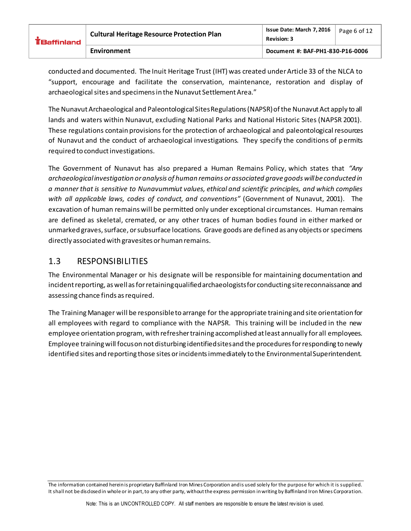| <b>EBaffinland</b> | <b>Cultural Heritage Resource Protection Plan</b> | Issue Date: March 7, 2016<br><b>Revision: 3</b> | Page 6 of 12 |
|--------------------|---------------------------------------------------|-------------------------------------------------|--------------|
|                    | Environment                                       | Document #: BAF-PH1-830-P16-0006                |              |

conducted and documented. The Inuit Heritage Trust (IHT) was created under Article 33 of the NLCA to "support, encourage and facilitate the conservation, maintenance, restoration and display of archaeological sites and specimens in the Nunavut Settlement Area."

The Nunavut Archaeological and Paleontological Sites Regulations (NAPSR) of the Nunavut Act apply to all lands and waters within Nunavut, excluding National Parks and National Historic Sites (NAPSR 2001). These regulations contain provisions for the protection of archaeological and paleontological resources of Nunavut and the conduct of archaeological investigations. They specify the conditions of permits required to conduct investigations.

The Government of Nunavut has also prepared a Human Remains Policy, which states that *"Any archaeological investigation or analysis of human remains or associated grave goods will be conducted in a manner that is sensitive to Nunavummiut values, ethical and scientific principles, and which complies with all applicable laws, codes of conduct, and conventions"* (Government of Nunavut, 2001). The excavation of human remains will be permitted only under exceptional circumstances. Human remains are defined as skeletal, cremated, or any other traces of human bodies found in either marked or unmarked graves, surface, or subsurface locations. Grave goods are defined as any objects or specimens directly associated with gravesites or human remains.

#### <span id="page-5-0"></span>1.3 RESPONSIBILITIES

The Environmental Manager or his designate will be responsible for maintaining documentation and incident reporting, as well as for retaining qualified archaeologists for conducting site reconnaissance and assessing chance finds as required.

The Training Manager will be responsible to arrange for the appropriate training and site orientation for all employees with regard to compliance with the NAPSR. This training will be included in the new employee orientation program, with refresher training accomplished at least annually for all employees. Employee training will focus on not disturbing identified sites and the procedures for responding to newly identified sites and reporting those sites or incidents immediately to the Environmental Superintendent.

The information contained herein is proprietary Baffinland Iron Mines Corporation and is used solely for the purpose for which it is supplied. It shall not be disclosed in whole or in part, to any other party, without the express permission in writing by Baffinland Iron Mines Corporation.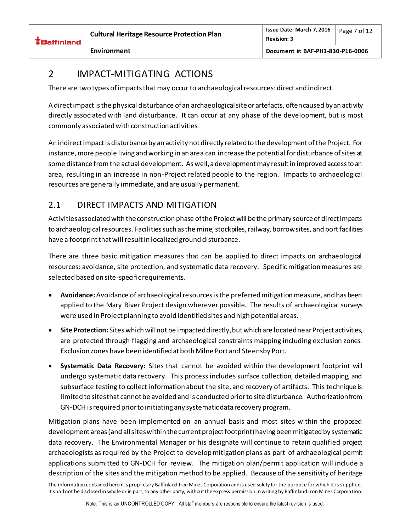#### **Environment Document #: BAF-PH1-830-P16-0006**

### <span id="page-6-0"></span>2 IMPACT-MITIGATING ACTIONS

There are two types of impacts that may occur to archaeological resources: direct and indirect.

A direct impact is the physical disturbance of an archaeologicalsite or artefacts, often caused by an activity directly associated with land disturbance. It can occur at any phase of the development, but is most commonly associated with construction activities.

An indirect impact is disturbance by an activity not directly related to the development of the Project. For instance, more people living and working in an area can increase the potential for disturbance of sites at some distance from the actual development. As well, a development may result in improved access to an area, resulting in an increase in non-Project related people to the region. Impacts to archaeological resources are generally immediate, and are usually permanent.

### <span id="page-6-1"></span>2.1 DIRECT IMPACTS AND MITIGATION

Activities associated with the construction phase of the Project will be the primary source of direct impacts to archaeological resources. Facilities such as the mine, stockpiles, railway, borrow sites, and port facilities have a footprint that will result in localized ground disturbance.

There are three basic mitigation measures that can be applied to direct impacts on archaeological resources: avoidance, site protection, and systematic data recovery. Specific mitigation measures are selected based on site-specific requirements.

- **Avoidance:**Avoidance of archaeological resources is the preferred mitigation measure, and has been applied to the Mary River Project design wherever possible. The results of archaeological surveys were used in Project planning to avoid identified sites and high potential areas.
- **Site Protection:** Sites which will not be impacted directly, but which are located near Project activities, are protected through flagging and archaeological constraints mapping including exclusion zones. Exclusion zones have been identified at both Milne Port and Steensby Port.
- **Systematic Data Recovery:** Sites that cannot be avoided within the development footprint will undergo systematic data recovery. This process includes surface collection, detailed mapping, and subsurface testing to collect information about the site, and recovery of artifacts. This technique is limited to sites that cannot be avoided and is conducted prior to site disturbance. Authorization from GN-DCH is required prior to initiating any systematic data recovery program.

Mitigation plans have been implemented on an annual basis and most sites within the proposed development areas (and all sites within the current project footprint) having been mitigated by systematic data recovery. The Environmental Manager or his designate will continue to retain qualified project archaeologists as required by the Project to develop mitigation plans as part of archaeological permit applications submitted to GN-DCH for review. The mitigation plan/permit application will include a description of the sites and the mitigation method to be applied. Because of the sensitivity of heritage

The information contained herein is proprietary Baffinland Iron Mines Corporation and is used solely for the purpose for which it is supplied. It shall not be disclosed in whole or in part, to any other party, without the express permission in writing by Baffinland Iron Mines Corporation.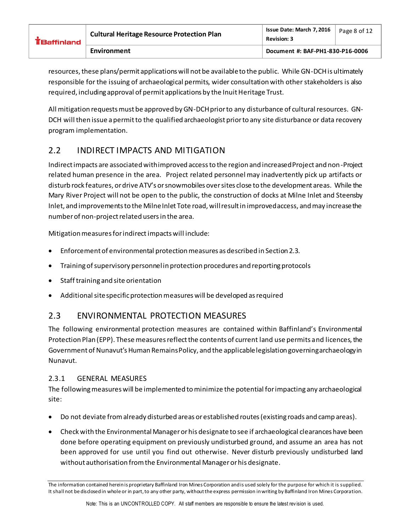| $E$ Baffinland | <b>Cultural Heritage Resource Protection Plan</b> | Issue Date: March 7, 2016<br><b>Revision: 3</b> | Page 8 of 12 |
|----------------|---------------------------------------------------|-------------------------------------------------|--------------|
|                | Environment                                       | Document #: BAF-PH1-830-P16-0006                |              |

resources, these plans/permit applications will not be available to the public. While GN-DCH is ultimately responsible for the issuing of archaeological permits, wider consultation with other stakeholders is also required, including approval of permit applications by the Inuit Heritage Trust.

All mitigation requests must be approved by GN-DCH prior to any disturbance of cultural resources. GN-DCH will then issue a permit to the qualified archaeologist prior to any site disturbance or data recovery program implementation.

### <span id="page-7-0"></span>2.2 INDIRECT IMPACTS AND MITIGATION

Indirect impacts are associated with improved access to the region and increased Project and non-Project related human presence in the area. Project related personnel may inadvertently pick up artifacts or disturb rock features, or drive ATV's or snowmobiles over sites close to the development areas. While the Mary River Project will not be open to the public, the construction of docks at Milne Inlet and Steensby Inlet, and improvements to the Milne Inlet Tote road, will result in improved access, and may increase the number of non-project related users in the area.

Mitigation measures for indirect impacts will include:

- Enforcement of environmental protection measures as described in Section 2.3.
- Training of supervisory personnel in protection procedures and reporting protocols
- Staff training and site orientation
- Additional site specific protection measures will be developed as required

#### <span id="page-7-1"></span>2.3 ENVIRONMENTAL PROTECTION MEASURES

The following environmental protection measures are contained within Baffinland's Environmental Protection Plan (EPP). These measures reflect the contents of current land use permits and licences, the Government of Nunavut's Human Remains Policy, and the applicable legislation governing archaeology in Nunavut.

#### <span id="page-7-2"></span>2.3.1 GENERAL MEASURES

The following measures will be implemented to minimize the potential for impacting any archaeological site:

- Do not deviate from already disturbed areas or established routes (existing roads and camp areas).
- Check with the Environmental Manager or his designate to see if archaeological clearances have been done before operating equipment on previously undisturbed ground, and assume an area has not been approved for use until you find out otherwise. Never disturb previously undisturbed land without authorisation from the Environmental Manager or his designate.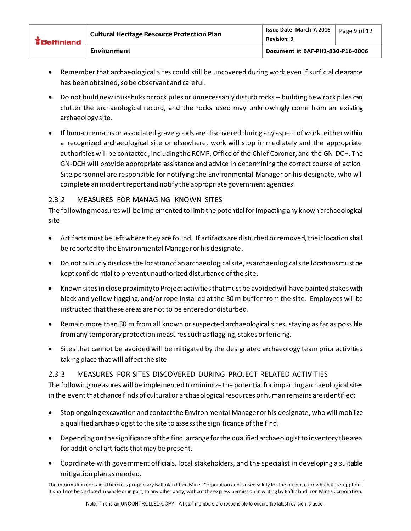| <b>EBaffinland</b> | <b>Cultural Heritage Resource Protection Plan</b> | Issue Date: March 7, 2016<br><b>Revision: 3</b> | Page 9 of 12 |
|--------------------|---------------------------------------------------|-------------------------------------------------|--------------|
|                    | Environment                                       | Document #: BAF-PH1-830-P16-0006                |              |

- Remember that archaeological sites could still be uncovered during work even if surficial clearance has been obtained, so be observant and careful.
- Do not build new inukshuks or rock piles or unnecessarily disturb rocks building new rock piles can clutter the archaeological record, and the rocks used may unknowingly come from an existing archaeology site.
- If human remains or associated grave goods are discovered during any aspect of work, either within a recognized archaeological site or elsewhere, work will stop immediately and the appropriate authorities will be contacted, including the RCMP, Office of the Chief Coroner, and the GN-DCH. The GN-DCH will provide appropriate assistance and advice in determining the correct course of action. Site personnel are responsible for notifying the Environmental Manager or his designate, who will complete an incident report and notify the appropriate government agencies.

#### <span id="page-8-0"></span>2.3.2 MEASURES FOR MANAGING KNOWN SITES

The following measures will be implemented to limit the potential for impacting any known archaeological site:

- Artifactsmust be left where they are found. If artifacts are disturbed or removed, their location shall be reported to the Environmental Manager or his designate.
- Do not publicly disclose the location of an archaeological site, as archaeological site locations must be kept confidential to prevent unauthorized disturbance of the site.
- Known sites in close proximity to Project activities that must be avoided will have painted stakes with black and yellow flagging, and/or rope installed at the 30 m buffer from the site. Employees will be instructed that these areas are not to be entered or disturbed.
- Remain more than 30 m from all known or suspected archaeological sites, staying as far as possible from any temporary protection measures such as flagging, stakes or fencing.
- Sites that cannot be avoided will be mitigated by the designated archaeology team prior activities taking place that will affect the site.

#### <span id="page-8-1"></span>2.3.3 MEASURES FOR SITES DISCOVERED DURING PROJECT RELATED ACTIVITIES

The following measures will be implemented to minimize the potential for impacting archaeological sites in the event that chance finds of cultural or archaeological resources or human remains are identified:

- Stop ongoing excavation and contact the Environmental Manager or his designate, who will mobilize a qualified archaeologist to the site to assess the significance of the find.
- Depending on the significance of the find, arrange for the qualified archaeologist to inventory the area for additional artifacts that may be present.
- Coordinate with government officials, local stakeholders, and the specialist in developing a suitable mitigation plan as needed.

The information contained herein is proprietary Baffinland Iron Mines Corporation and is used solely for the purpose for which it is supplied. It shall not be disclosed in whole or in part, to any other party, without the express permission in writing by Baffinland Iron Mines Corporation.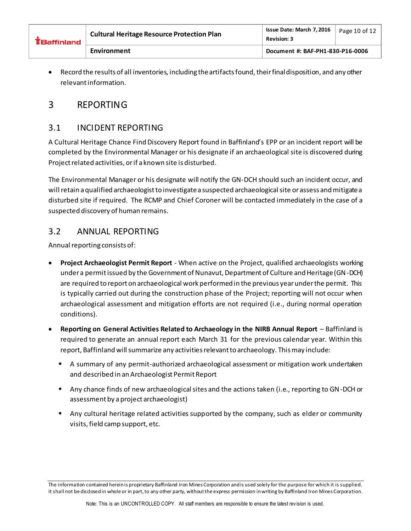| <b>EBaffinland</b> | <b>Cultural Heritage Resource Protection Plan</b> | Issue Date: March 7, 2016<br><b>Revision: 3</b> | Page 10 of 12 |
|--------------------|---------------------------------------------------|-------------------------------------------------|---------------|
|                    | Environment                                       | Document #: BAF-PH1-830-P16-0006                |               |

 Record the results of all inventories, including the artifacts found, their final disposition, and any other relevant information.

### <span id="page-9-0"></span>3 REPORTING

### <span id="page-9-1"></span>3.1 INCIDENT REPORTING

A Cultural Heritage Chance Find Discovery Report found in Baffinland's EPP or an incident report will be completed by the Environmental Manager or his designate if an archaeological site is discovered during Project related activities, or if a known site is disturbed.

The Environmental Manager or his designate will notify the GN-DCH should such an incident occur, and will retain a qualified archaeologist to investigate a suspected archaeological site or assess and mitigate a disturbed site if required. The RCMP and Chief Coroner will be contacted immediately in the case of a suspected discovery of human remains.

#### <span id="page-9-2"></span>3.2 ANNUAL REPORTING

Annual reporting consists of:

- **Project Archaeologist Permit Report** When active on the Project, qualified archaeologists working under a permit issued by the Government of Nunavut, Department of Culture and Heritage (GN-DCH) are required to report on archaeological work performed in the previous year under the permit. This is typically carried out during the construction phase of the Project; reporting will not occur when archaeological assessment and mitigation efforts are not required (i.e., during normal operation conditions).
- **Reporting on General Activities Related to Archaeology in the NIRB Annual Report** Baffinland is required to generate an annual report each March 31 for the previous calendar year. Within this report, Baffinland will summarize any activities relevant to archaeology. This may include:
	- A summary of any permit-authorized archaeological assessment or mitigation work undertaken and described in an Archaeologist Permit Report
	- Any chance finds of new archaeological sites and the actions taken (i.e., reporting to GN-DCH or assessment by a project archaeologist)
	- Any cultural heritage related activities supported by the company, such as elder or community visits, field camp support, etc.

The information contained herein is proprietary Baffinland Iron Mines Corporation and is used solely for the purpose for which it is supplied. It shall not be disclosed in whole or in part, to any other party, without the express permission in writing by Baffinland Iron Mines Corporation.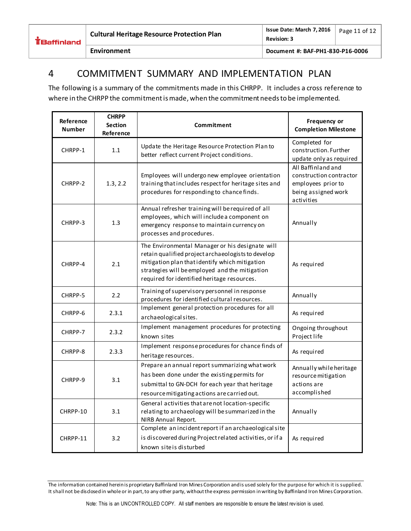

#### <span id="page-10-0"></span>4 COMMITMENT SUMMARY AND IMPLEMENTATION PLAN

The following is a summary of the commitments made in this CHRPP. It includes a cross reference to where in the CHRPP the commitment is made, when the commitment needs to be implemented.

| Reference<br><b>Number</b> | <b>CHRPP</b><br><b>Section</b><br>Reference | Commitment                                                                                                                                                                                                                                               | Frequency or<br><b>Completion Milestone</b>                                                              |
|----------------------------|---------------------------------------------|----------------------------------------------------------------------------------------------------------------------------------------------------------------------------------------------------------------------------------------------------------|----------------------------------------------------------------------------------------------------------|
| CHRPP-1                    | 1.1                                         | Update the Heritage Resource Protection Plan to<br>better reflect current Project conditions.                                                                                                                                                            | Completed for<br>construction. Further<br>update only as required                                        |
| CHRPP-2                    | 1.3, 2.2                                    | Employees will undergo new employee orientation<br>training that includes respect for heritage sites and<br>procedures for responding to chance finds.                                                                                                   | All Baffinland and<br>construction contractor<br>employees prior to<br>being assigned work<br>activities |
| CHRPP-3                    | 1.3                                         | Annual refresher training will be required of all<br>employees, which will include a component on<br>emergency response to maintain currency on<br>processes and procedures.                                                                             | Annually                                                                                                 |
| CHRPP-4                    | 2.1                                         | The Environmental Manager or his designate will<br>retain qualified project archaeologists to develop<br>mitigation plan that identify which mitigation<br>strategies will be employed and the mitigation<br>required for identified heritage resources. | As required                                                                                              |
| CHRPP-5                    | 2.2                                         | Training of supervisory personnel in response<br>procedures for identified cultural resources.                                                                                                                                                           | Annually                                                                                                 |
| CHRPP-6                    | 2.3.1                                       | Implement general protection procedures for all<br>archaeological sites.                                                                                                                                                                                 | As required                                                                                              |
| CHRPP-7                    | 2.3.2                                       | Implement management procedures for protecting<br>known sites                                                                                                                                                                                            | Ongoing throughout<br>Project life                                                                       |
| CHRPP-8                    | 2.3.3                                       | Implement response procedures for chance finds of<br>heritage resources.                                                                                                                                                                                 | As required                                                                                              |
| CHRPP-9                    | 3.1                                         | Prepare an annual report summarizing what work<br>has been done under the existing permits for<br>submittal to GN-DCH for each year that heritage<br>resource mitigating actions are carried out.                                                        | Annually while heritage<br>resource mitigation<br>actions are<br>accomplished                            |
| CHRPP-10                   | 3.1                                         | General activities that are not location-specific<br>relating to archaeology will be summarized in the<br>NIRB Annual Report.                                                                                                                            | Annually                                                                                                 |
| CHRPP-11                   | 3.2                                         | Complete an incident report if an archaeological site<br>is discovered during Project related activities, or if a<br>known site is disturbed                                                                                                             | As required                                                                                              |